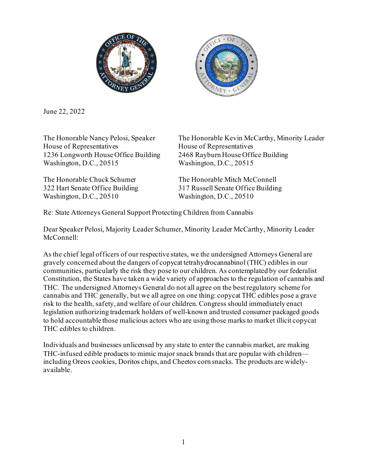



June 22, 2022

House of Representatives House of Representatives 1236 Longworth House Office Building 2468 Rayburn House Office Building Washington, D.C., 20515 Washington, D.C., 20515

Washington, D.C., 20510 Washington, D.C., 20510

The Honorable Nancy Pelosi, Speaker The Honorable Kevin McCarthy, Minority Leader

The Honorable Chuck Schumer The Honorable Mitch McConnell 322 Hart Senate Office Building 317 Russell Senate Office Building

Re: State Attorneys General Support Protecting Children from Cannabis

Dear Speaker Pelosi, Majority Leader Schumer, Minority Leader McCarthy, Minority Leader McConnell:

As the chief legal officers of our respective states, we the undersigned Attorneys General are gravely concerned about the dangers of copycat tetrahydrocannabinol (THC) edibles in our communities, particularly the risk they pose to our children. As contemplated by our federalist Constitution, the States have taken a wide variety of approaches to the regulation of cannabis and THC. The undersigned Attorneys General do not all agree on the best regulatory scheme for cannabis and THC generally, but we all agree on one thing: copycat THC edibles pose a grave risk to the health, safety, and welfare of our children. Congress should immediately enact legislation authorizing trademark holders of well-known and trusted consumer packaged goods to hold accountable those malicious actors who are using those marks to market illicit copycat THC edibles to children.

Individuals and businesses unlicensed by any state to enter the cannabis market, are making THC-infused edible products to mimic major snack brands that are popular with children including Oreos cookies, Doritos chips, and Cheetos corn snacks. The products are widelyavailable.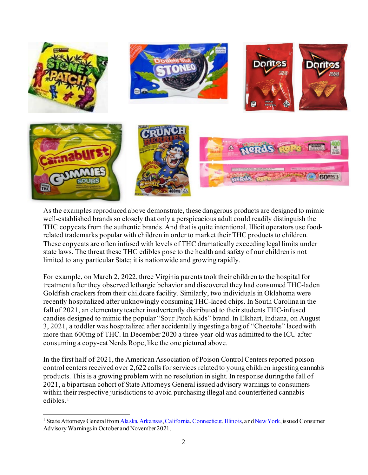

As the examples reproduced above demonstrate, these dangerous products are designed to mimic well-established brands so closely that only a perspicacious adult could readily distinguish the THC copycats from the authentic brands. And that is quite intentional. Illicit operators use foodrelated trademarks popular with children in order to market their THC products to children. These copycats are often infused with levels of THC dramatically exceeding legal limits under state laws. The threat these THC edibles pose to the health and safety of our children is not limited to any particular State; it is nationwide and growing rapidly.

For example, on March 2, 2022, three Virginia parents took their children to the hospital for treatment after they observed lethargic behavior and discovered they had consumed THC-laden Goldfish crackers from their childcare facility. Similarly, two individuals in Oklahoma were recently hospitalized after unknowingly consuming THC-laced chips. In South Carolina in the fall of 2021, an elementary teacher inadvertently distributed to their students THC-infused candies designed to mimic the popular "Sour Patch Kids" brand.In Elkhart, Indiana, on August 3, 2021, a toddler was hospitalized after accidentally ingesting a bag of "Cheetohs" laced with more than 600mg of THC. In December 2020 a three-year-old was admitted to the ICU after consuming a copy-cat Nerds Rope, like the one pictured above.

In the first half of 2021, the American Association of Poison Control Centers reported poison control centers received over 2,622 calls for services related to young children ingesting cannabis products. This is a growing problem with no resolution in sight. In response during the fall of 2021, a bipartisan cohort of State Attorneys General issued advisory warnings to consumers within their respective jurisdictions to avoid purchasing illegal and counterfeited cannabis edibles. [1](#page-1-0)

<span id="page-1-0"></span><sup>&</sup>lt;sup>1</sup> State Attorneys General from *Alaska[, Arkansas](https://content.govdelivery.com/accounts/ARAG/bulletins/2f647a5)[, California](https://oag.ca.gov/news/press-releases/attorney-general-bonta-cannabis-infused-edibles-packaged-popular-food-and-candy)[, Connecticut](https://portal.ct.gov/AG/Press-Releases/2021-Press-Releases/AG-Tong-Warns-Against-Unregulated-and-Illegal-Cannabis-Products-Sold-in-Look-Alike-Packaging)[, Illinois,](https://www.chicagotribune.com/business/ct-biz-cannabis-halloween-treats-warning-illinois-20211026-5vmkmwbi7zhhvhdekqdqv7w73u-story.html) an[d New York,](https://ag.ny.gov/press-release/2021/consumer-alert-attorney-general-james-issues-alert-protect-children-deceptive) issued Consumer* Advisory Warnings in October and November 2021.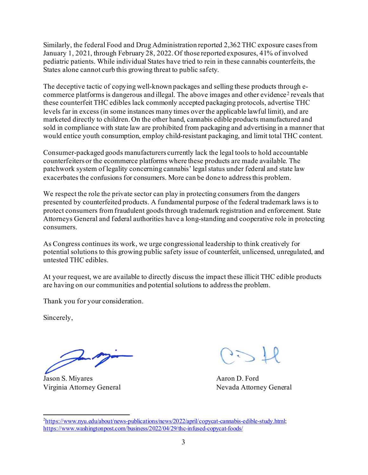Similarly, the federal Food and Drug Administration reported 2,362 THC exposure cases from January 1, 2021, through February 28, 2022. Of those reported exposures, 41% of involved pediatric patients. While individual States have tried to rein in these cannabis counterfeits, the States alone cannot curb this growing threat to public safety.

The deceptive tactic of copying well-known packages and selling these products through e-commerce platforms is dangerous and illegal. The above images and other evidence<sup>[2](#page-2-0)</sup> reveals that these counterfeit THC edibles lack commonly accepted packaging protocols, advertise THC levels far in excess (in some instances many times over the applicable lawful limit), and are marketed directly to children. On the other hand, cannabis edible products manufactured and sold in compliance with state law are prohibited from packaging and advertising in a manner that would entice youth consumption, employ child-resistant packaging, and limit total THC content.

Consumer-packaged goods manufacturers currently lack the legal tools to hold accountable counterfeiters or the ecommerce platforms where these products are made available. The patchwork system of legality concerning cannabis' legal status under federal and state law exacerbates the confusions for consumers. More can be done to address this problem.

We respect the role the private sector can play in protecting consumers from the dangers presented by counterfeited products. A fundamental purpose of the federal trademark laws is to protect consumers from fraudulent goods through trademark registration and enforcement. State Attorneys General and federal authorities have a long-standing and cooperative role in protecting consumers.

As Congress continues its work, we urge congressional leadership to think creatively for potential solutions to this growing public safety issue of counterfeit, unlicensed, unregulated, and untested THC edibles.

At your request, we are available to directly discuss the impact these illicit THC edible products are having on our communities and potential solutions to address the problem.

Thank you for your consideration.

Sincerely,

Jason S. Miyares Aaron D. Ford Virginia Attorney General Nevada Attorney General

<span id="page-2-0"></span><sup>&</sup>lt;sup>2</sup>[https://www.nyu.edu/about/news-publications/news/2022/april/copycat-cannabis-edible-study.html;](https://www.nyu.edu/about/news-publications/news/2022/april/copycat-cannabis-edible-study.html) <https://www.washingtonpost.com/business/2022/04/29/thc-infused-copycat-foods/>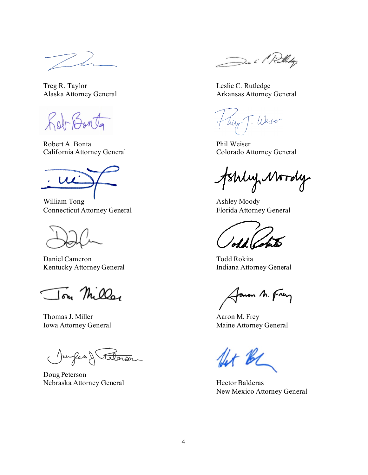Treg R. Taylor Leslie C. Rutledge

Roberto

Robert A. Bonta Phil Weiser California Attorney General Colorado Attorney General

William Tong  $\qquad$  Ashley Moody Connecticut Attorney General Florida Attorney General

Daniel Cameron Todd Rokita Kentucky Attorney General **Indiana Attorney General** 

Jon Miller

Thomas J. Miller Aaron M. Frey

(Jourfas) telara

Doug Peterson Nebraska Attorney General Hector Balderas

De il Rollidge

Alaska Attorney General Arkansas Attorney General

J. Weiser Wilve

tshly Mordy

Janon M. Frey

Iowa Attorney General Maine Attorney General

fet BC

New Mexico Attorney General